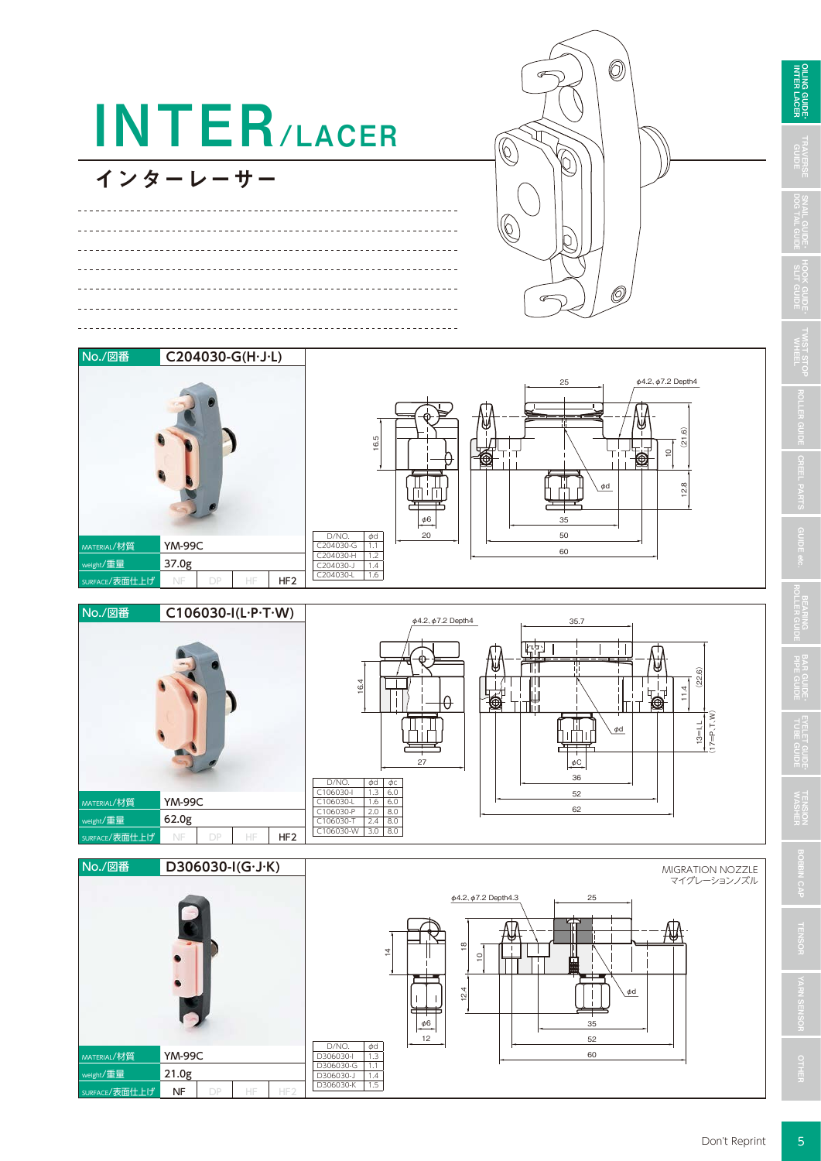

WIST STOI **TENSION**<br>WASHER

**OILING GUIDE**<br>INTER LACER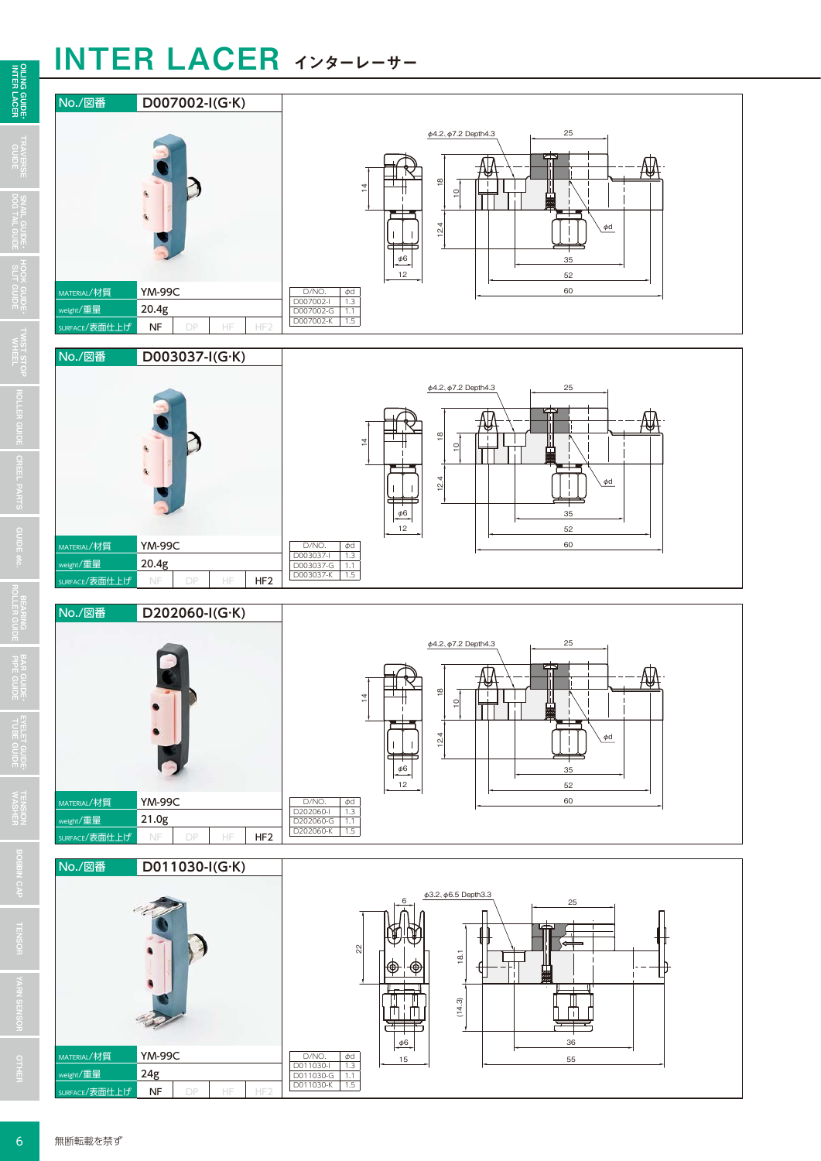## INTER LACER インターレーサー



 $\overline{6}$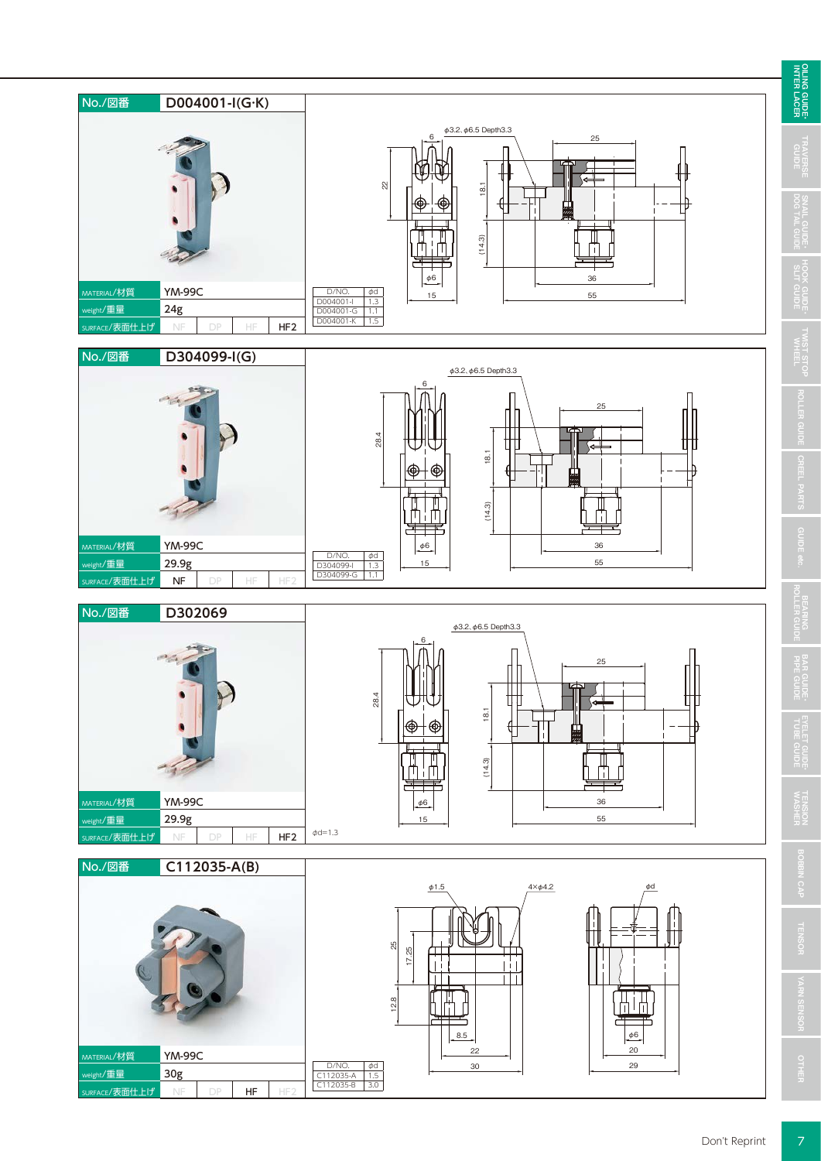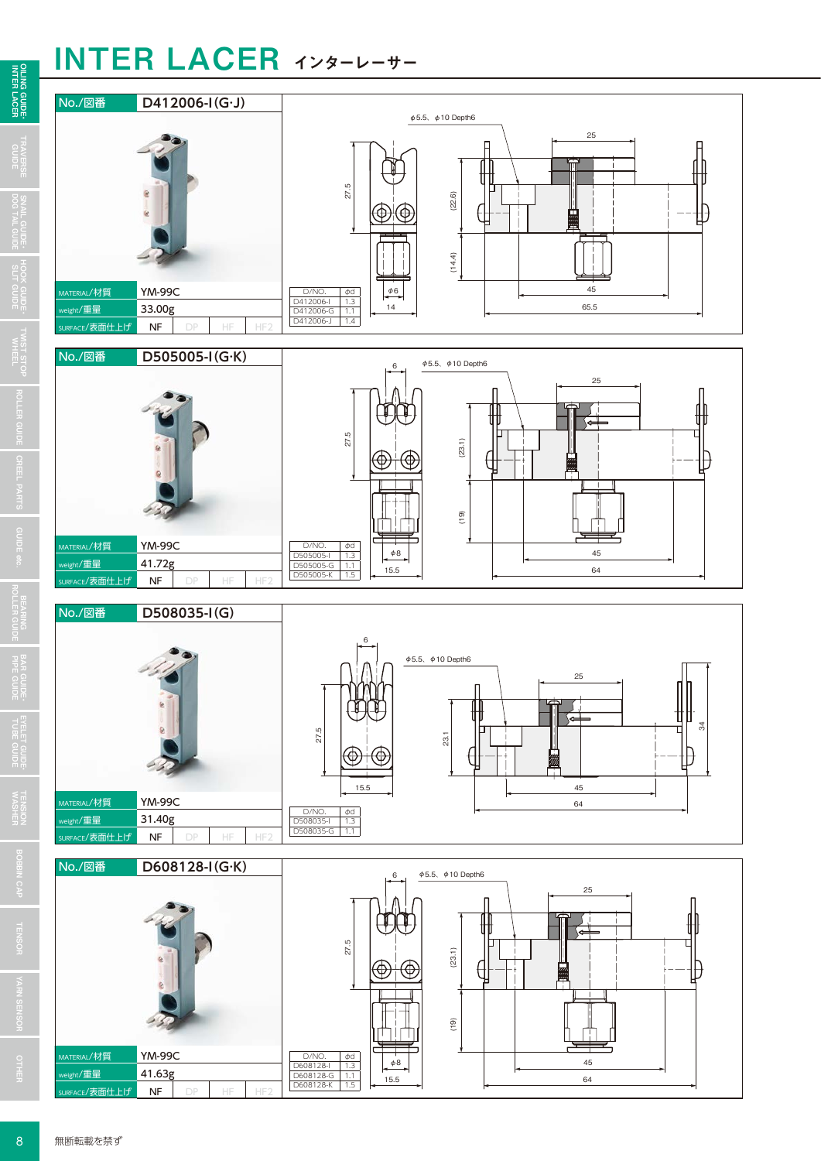## INTER LACER インターレーサー



 $\overline{8}$